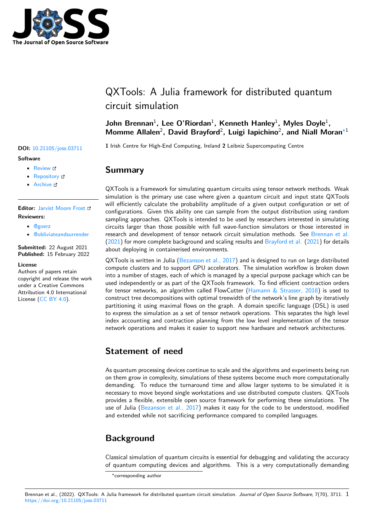

# QXTools: A Julia framework for distributed quantum circuit simulation

## John Brennan<sup>1</sup>, Lee O'Riordan<sup>1</sup>, Kenneth Hanley<sup>1</sup>, Myles Doyle<sup>1</sup>, **Momme Allalen**<sup>2</sup> **, David Brayford**<sup>2</sup> **, Luigi Iapichino**<sup>2</sup> **, and Niall Moran**∗1

**<sup>1</sup>** Irish Centre for High-End Computing, Ireland **<sup>2</sup>** Leibniz Supercomputing Centre **DOI:** 10.21105/joss.03711

## **Summary**

QXTools is a framework for simulating quantum circuits using tensor network methods. Weak simulation is the primary use case where given a quantum circuit and input state QXTools will efficiently calculate the probability amplitude of a given output configuration or set of configurations. Given this ability one can sample from the output distribution using random sampling approaches. QXTools is intended to be used by researchers interested in simulating circuits larger than those possible with full wave-function simulators or those interested in research and development of tensor network circuit simulation methods. See Brennan et al. (2021) for more complete background and scaling results and Brayford et al. (2021) for details about deploying in containerised environments.

QXTools is written in Julia (Bezanson et al., 2017) and is designed to run on large distributed compute clusters and to support GPU accelerators. The simulation workflowi[s broken down](#page-2-0) i[nto a](#page-2-0) number of stages, each of which is managed by a speci[al purpose package wh](#page-2-1)ich can be used independently or as part of the QXTools framework. To find efficient contraction orders for tensor networks, an alg[orithm called FlowCut](#page-2-2)ter (Hamann  $\&$  Strasser, 2018) is used to construct tree decompositions with optimal treewidth of the network's line graph by iteratively partitioning it using maximal flows on the graph. A domain specific language (DSL) is used to express the simulation as a set of tensor network operations. This separates the high level index accounting and contraction planning from thel[ow level implementation o](#page-2-3)f the tensor network operations and makes it easier to support new hardware and network architectures.

# **Statement of need**

As quantum processing devices continue to scale and the algorithms and experiments being run on them grow in complexity, simulations of these systems become much more computationally demanding. To reduce the turnaround time and allow larger systems to be simulated it is necessary to move beyond single workstations and use distributed compute clusters. QXTools provides a flexible, extensible open source framework for performing these simulations. The use of Julia (Bezanson et al., 2017) makes it easy for the code to be understood, modified and extended while not sacrificing performance compared to compiled languages.

# **Backgro[und](#page-2-2)**

Classical simulation of quantum circuits is essential for debugging and validating the accuracy of quantum computing devices and algorithms. This is a very computationally demanding

#### Brennan et al., (2022). QXTools: A Julia framework for distributed quantum circuit simulation. *Journal of Open Source Software*, 7(70), 3711. 1https://doi.org/10.21105/joss.03711

#### **Software**

- Review c'
- [Repository](https://doi.org/10.21105/joss.03711)  $C$
- Archive

### **Editor:** [Jarvist M](https://github.com/JuliaQX/QXTools.jl)oore Frost **Revie[wers:](https://doi.org/10.5281/zenodo.6089937)**

- @goerz
- @[obliviateandsurrende](http://jarvist.github.io/)r

**Submitted:** 22 August 2021 **Publi[shed:](https://github.com/goerz)** 15 February 2022

#### **Licen[se](https://github.com/obliviateandsurrender)**

Authors of papers retain copyright and release the work under a Creative Commons Attribution 4.0 International License (CC BY 4.0).

<sup>∗</sup>corresponding author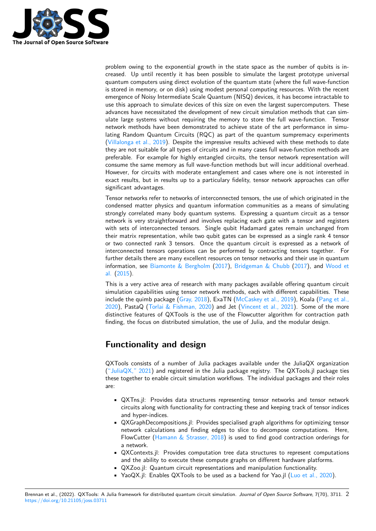

problem owing to the exponential growth in the state space as the number of qubits is increased. Up until recently it has been possible to simulate the largest prototype universal quantum computers using direct evolution of the quantum state (where the full wave-function is stored in memory, or on disk) using modest personal computing resources. With the recent emergence of Noisy Intermediate Scale Quantum (NISQ) devices, it has become intractable to use this approach to simulate devices of this size on even the largest supercomputers. These advances have necessitated the development of new circuit simulation methods that can simulate large systems without requiring the memory to store the full wave-function. Tensor network methods have been demonstrated to achieve state of the art performance in simulating Random Quantum Circuits (RQC) as part of the quantum sumpremacy experiments (Villalonga et al., 2019). Despite the impressive results achieved with these methods to date they are not suitable for all types of circuits and in many cases full wave-function methods are preferable. For example for highly entangled circuits, the tensor network representation will consume the same memory as full wave-function methods but will incur additional overhead. [However, for circuits w](#page-2-4)ith moderate entanglement and cases where one is not interested in exact results, but in results up to a particulary fidelity, tensor network approaches can offer significant advantages.

Tensor networks refer to networks of interconnected tensors, the use of which originated in the condensed matter physics and quantum information communities as a means of simulating strongly correlated many body quantum systems. Expressing a quantum circuit as a tensor network is very straightforward and involves replacing each gate with a tensor and registers with sets of interconnected tensors. Single qubit Hadamard gates remain unchanged from their matrix representation, while two qubit gates can be expressed as a single rank 4 tensor or two connected rank 3 tensors. Once the quantum circuit is expressed as a network of interconnected tensors operations can be performed by contracting tensors together. For further details there are many excellent resources on tensor networks and their use in quantum information, see Biamonte & Bergholm (2017), Bridgeman & Chubb (2017), and Wood et al. (2015).

This is a very active area of research with many packages available offering quantum circuit simulation capabilities using tensor network methods, each with different capabilities. These include the quim[b package \(Gray, 2018\),](#page-2-5) [ExaTN](#page-2-5) [\(McCaskey et al., 201](#page-2-6)9[\), Ko](#page-2-6)ala (Pa[ng et al.,](#page-2-7) [2020\), Pa](#page-2-7)staQ (Torlai & Fishman, 2020) and Jet (Vincent et al., 2021). Some of the more distinctive features of QXTools is the use of the Flowcutter algorithm for contraction path finding, the focus on distributed simulation, the use of Julia, and the modular design.

# **[Fun](#page-2-8)ctional[ity and design](#page-2-9)**

QXTools consists of a number of Julia packages available under the JuliaQX organization  $("JuliaQX," 2021)$  and registered in the Julia package registry. The QXTools.jl package ties these together to enable circuit simulation workflows. The individual packages and their roles are:

- [QXTns.jl: P](#page-2-10)rovides data structures representing tensor networks and tensor network circuits along with functionality for contracting these and keeping track of tensor indices and hyper-indices.
- QXGraphDecompositions.jl: Provides specialised graph algorithms for optimizing tensor network calculations and finding edges to slice to decompose computations. Here, FlowCutter (Hamann  $\&$  Strasser, 2018) is used to find good contraction orderings for a network.
- QXContexts.jl: Provides computation tree data structures to represent computations and the ability to execute these compute graphs on different hardware platforms.
- QXZoo.jl: Q[uantum circuit representat](#page-2-3)ions and manipulation functionality.
- YaoQX.jl: Enables QXTools to be used as a backend for Yao.jl (Luo et al., 2020).